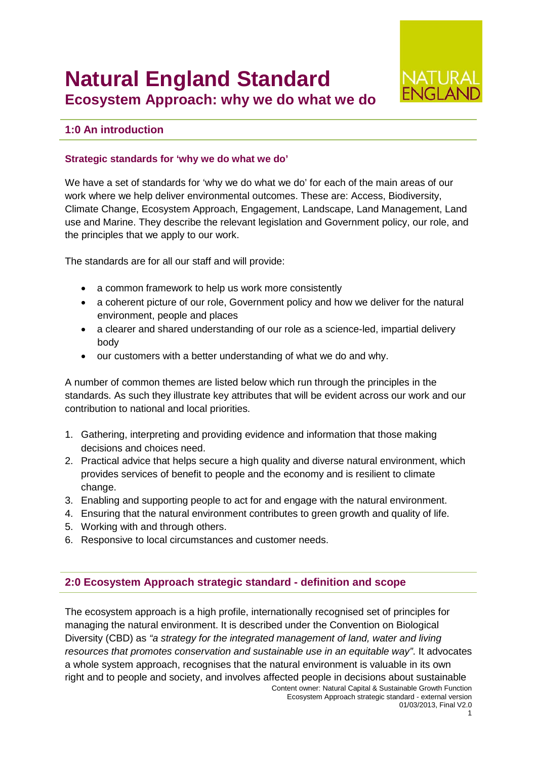# **Natural England Standard Ecosystem Approach: why we do what we do**



# **1:0 An introduction**

#### **Strategic standards for 'why we do what we do'**

We have a set of standards for 'why we do what we do' for each of the main areas of our work where we help deliver environmental outcomes. These are: Access, Biodiversity, Climate Change, Ecosystem Approach, Engagement, Landscape, Land Management, Land use and Marine. They describe the relevant legislation and Government policy, our role, and the principles that we apply to our work.

The standards are for all our staff and will provide:

- a common framework to help us work more consistently
- a coherent picture of our role, Government policy and how we deliver for the natural environment, people and places
- a clearer and shared understanding of our role as a science-led, impartial delivery body
- our customers with a better understanding of what we do and why.

A number of common themes are listed below which run through the principles in the standards. As such they illustrate key attributes that will be evident across our work and our contribution to national and local priorities.

- 1. Gathering, interpreting and providing evidence and information that those making decisions and choices need.
- 2. Practical advice that helps secure a high quality and diverse natural environment, which provides services of benefit to people and the economy and is resilient to climate change.
- 3. Enabling and supporting people to act for and engage with the natural environment.
- 4. Ensuring that the natural environment contributes to green growth and quality of life.
- 5. Working with and through others.
- 6. Responsive to local circumstances and customer needs.

# **2:0 Ecosystem Approach strategic standard - definition and scope**

The ecosystem approach is a high profile, internationally recognised set of principles for managing the natural environment. It is described under the Convention on Biological Diversity (CBD) as *"a strategy for the integrated management of land, water and living resources that promotes conservation and sustainable use in an equitable way"*. It advocates a whole system approach, recognises that the natural environment is valuable in its own right and to people and society, and involves affected people in decisions about sustainable

Content owner: Natural Capital & Sustainable Growth Function Ecosystem Approach strategic standard - external version 01/03/2013, Final V2.0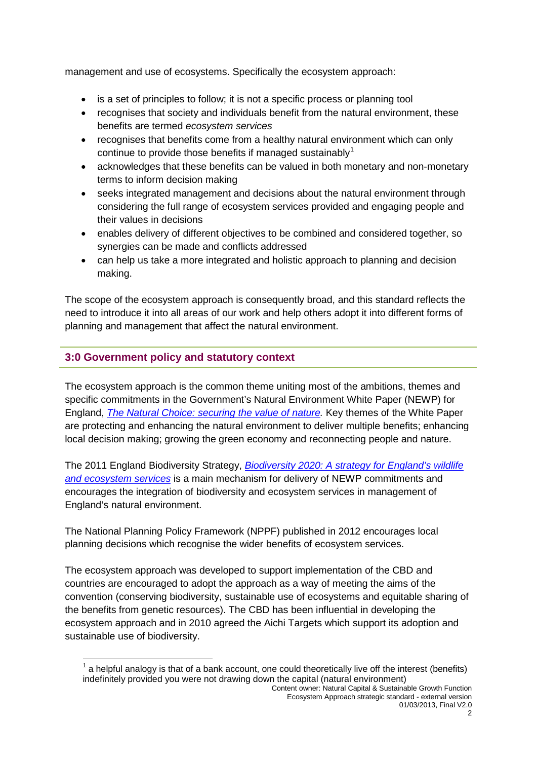management and use of ecosystems. Specifically the ecosystem approach:

- is a set of principles to follow; it is not a specific process or planning tool
- recognises that society and individuals benefit from the natural environment, these benefits are termed *ecosystem services*
- recognises that benefits come from a healthy natural environment which can only continue to provide those benefits if managed sustainably<sup>[1](#page-1-0)</sup>
- acknowledges that these benefits can be valued in both monetary and non-monetary terms to inform decision making
- seeks integrated management and decisions about the natural environment through considering the full range of ecosystem services provided and engaging people and their values in decisions
- enables delivery of different objectives to be combined and considered together, so synergies can be made and conflicts addressed
- can help us take a more integrated and holistic approach to planning and decision making.

The scope of the ecosystem approach is consequently broad, and this standard reflects the need to introduce it into all areas of our work and help others adopt it into different forms of planning and management that affect the natural environment.

# **3:0 Government policy and statutory context**

 $\overline{a}$ 

The ecosystem approach is the common theme uniting most of the ambitions, themes and specific commitments in the Government's Natural Environment White Paper (NEWP) for England, *[The Natural Choice: securing the value of nature.](http://www.defra.gov.uk/environment/natural/whitepaper/)* Key themes of the White Paper are protecting and enhancing the natural environment to deliver multiple benefits; enhancing local decision making; growing the green economy and reconnecting people and nature.

The 2011 England Biodiversity Strategy, *[Biodiversity 2020: A strategy for England's wildlife](http://www.defra.gov.uk/publications/2011/08/19/pb13583-biodiversity-strategy-2020/)  [and ecosystem services](http://www.defra.gov.uk/publications/2011/08/19/pb13583-biodiversity-strategy-2020/)* is a main mechanism for delivery of NEWP commitments and encourages the integration of biodiversity and ecosystem services in management of England's natural environment.

The National Planning Policy Framework (NPPF) published in 2012 encourages local planning decisions which recognise the wider benefits of ecosystem services.

The ecosystem approach was developed to support implementation of the CBD and countries are encouraged to adopt the approach as a way of meeting the aims of the convention (conserving biodiversity, sustainable use of ecosystems and equitable sharing of the benefits from genetic resources). The CBD has been influential in developing the ecosystem approach and in 2010 agreed the Aichi Targets which support its adoption and sustainable use of biodiversity.

<span id="page-1-0"></span>a helpful analogy is that of a bank account, one could theoretically live off the interest (benefits) indefinitely provided you were not drawing down the capital (natural environment)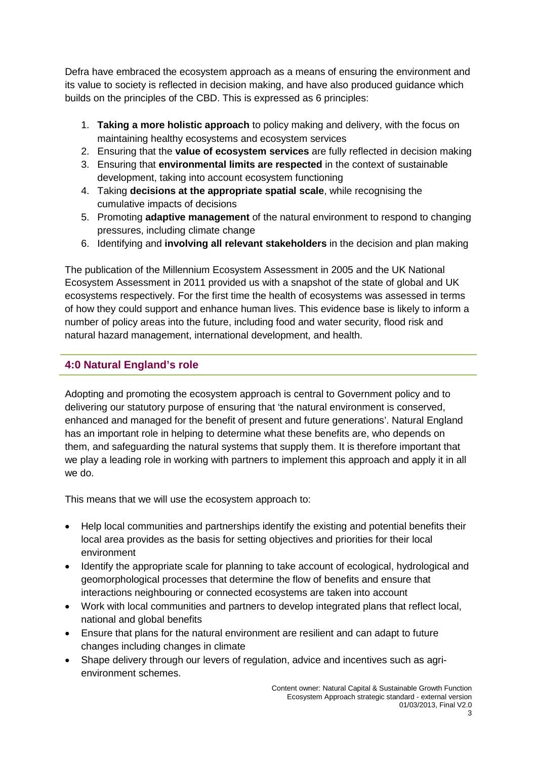Defra have embraced the ecosystem approach as a means of ensuring the environment and its value to society is reflected in decision making, and have also produced guidance which builds on the principles of the CBD. This is expressed as 6 principles:

- 1. **Taking a more holistic approach** to policy making and delivery, with the focus on maintaining healthy ecosystems and ecosystem services
- 2. Ensuring that the **value of ecosystem services** are fully reflected in decision making
- 3. Ensuring that **environmental limits are respected** in the context of sustainable development, taking into account ecosystem functioning
- 4. Taking **decisions at the appropriate spatial scale**, while recognising the cumulative impacts of decisions
- 5. Promoting **adaptive management** of the natural environment to respond to changing pressures, including climate change
- 6. Identifying and **involving all relevant stakeholders** in the decision and plan making

The publication of the Millennium Ecosystem Assessment in 2005 and the UK National Ecosystem Assessment in 2011 provided us with a snapshot of the state of global and UK ecosystems respectively. For the first time the health of ecosystems was assessed in terms of how they could support and enhance human lives. This evidence base is likely to inform a number of policy areas into the future, including food and water security, flood risk and natural hazard management, international development, and health.

# **4:0 Natural England's role**

Adopting and promoting the ecosystem approach is central to Government policy and to delivering our statutory purpose of ensuring that 'the natural environment is conserved, enhanced and managed for the benefit of present and future generations'. Natural England has an important role in helping to determine what these benefits are, who depends on them, and safeguarding the natural systems that supply them. It is therefore important that we play a leading role in working with partners to implement this approach and apply it in all we do.

This means that we will use the ecosystem approach to:

- Help local communities and partnerships identify the existing and potential benefits their local area provides as the basis for setting objectives and priorities for their local environment
- Identify the appropriate scale for planning to take account of ecological, hydrological and geomorphological processes that determine the flow of benefits and ensure that interactions neighbouring or connected ecosystems are taken into account
- Work with local communities and partners to develop integrated plans that reflect local, national and global benefits
- Ensure that plans for the natural environment are resilient and can adapt to future changes including changes in climate
- Shape delivery through our levers of regulation, advice and incentives such as agrienvironment schemes.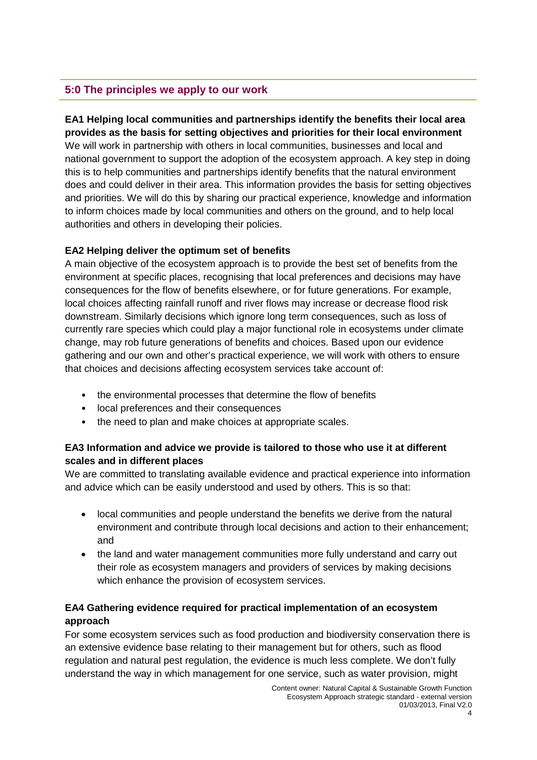# **5:0 The principles we apply to our work**

#### **EA1 Helping local communities and partnerships identify the benefits their local area provides as the basis for setting objectives and priorities for their local environment**

We will work in partnership with others in local communities, businesses and local and national government to support the adoption of the ecosystem approach. A key step in doing this is to help communities and partnerships identify benefits that the natural environment does and could deliver in their area. This information provides the basis for setting objectives and priorities. We will do this by sharing our practical experience, knowledge and information to inform choices made by local communities and others on the ground, and to help local authorities and others in developing their policies.

### **EA2 Helping deliver the optimum set of benefits**

A main objective of the ecosystem approach is to provide the best set of benefits from the environment at specific places, recognising that local preferences and decisions may have consequences for the flow of benefits elsewhere, or for future generations. For example, local choices affecting rainfall runoff and river flows may increase or decrease flood risk downstream. Similarly decisions which ignore long term consequences, such as loss of currently rare species which could play a major functional role in ecosystems under climate change, may rob future generations of benefits and choices. Based upon our evidence gathering and our own and other's practical experience, we will work with others to ensure that choices and decisions affecting ecosystem services take account of:

- the environmental processes that determine the flow of benefits
- local preferences and their consequences
- the need to plan and make choices at appropriate scales.

# **EA3 Information and advice we provide is tailored to those who use it at different scales and in different places**

We are committed to translating available evidence and practical experience into information and advice which can be easily understood and used by others. This is so that:

- local communities and people understand the benefits we derive from the natural environment and contribute through local decisions and action to their enhancement; and
- the land and water management communities more fully understand and carry out their role as ecosystem managers and providers of services by making decisions which enhance the provision of ecosystem services.

# **EA4 Gathering evidence required for practical implementation of an ecosystem approach**

For some ecosystem services such as food production and biodiversity conservation there is an extensive evidence base relating to their management but for others, such as flood regulation and natural pest regulation, the evidence is much less complete. We don't fully understand the way in which management for one service, such as water provision, might